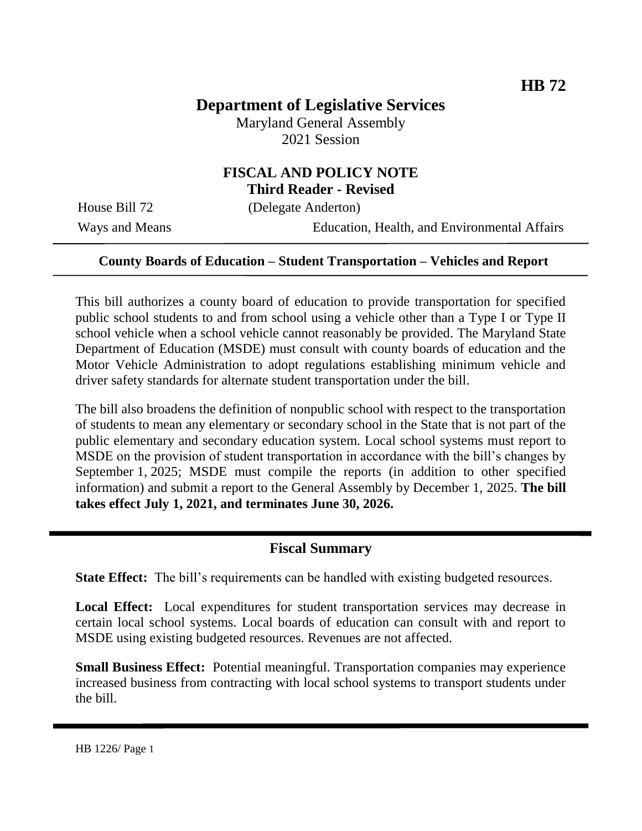# **Department of Legislative Services**

Maryland General Assembly 2021 Session

#### **FISCAL AND POLICY NOTE Third Reader - Revised**

House Bill 72 (Delegate Anderton)

Ways and Means Education, Health, and Environmental Affairs

#### **County Boards of Education – Student Transportation – Vehicles and Report**

This bill authorizes a county board of education to provide transportation for specified public school students to and from school using a vehicle other than a Type I or Type II school vehicle when a school vehicle cannot reasonably be provided. The Maryland State Department of Education (MSDE) must consult with county boards of education and the Motor Vehicle Administration to adopt regulations establishing minimum vehicle and driver safety standards for alternate student transportation under the bill.

The bill also broadens the definition of nonpublic school with respect to the transportation of students to mean any elementary or secondary school in the State that is not part of the public elementary and secondary education system. Local school systems must report to MSDE on the provision of student transportation in accordance with the bill's changes by September 1, 2025; MSDE must compile the reports (in addition to other specified information) and submit a report to the General Assembly by December 1, 2025. **The bill takes effect July 1, 2021, and terminates June 30, 2026.** 

#### **Fiscal Summary**

**State Effect:** The bill's requirements can be handled with existing budgeted resources.

**Local Effect:** Local expenditures for student transportation services may decrease in certain local school systems. Local boards of education can consult with and report to MSDE using existing budgeted resources. Revenues are not affected.

**Small Business Effect:** Potential meaningful. Transportation companies may experience increased business from contracting with local school systems to transport students under the bill.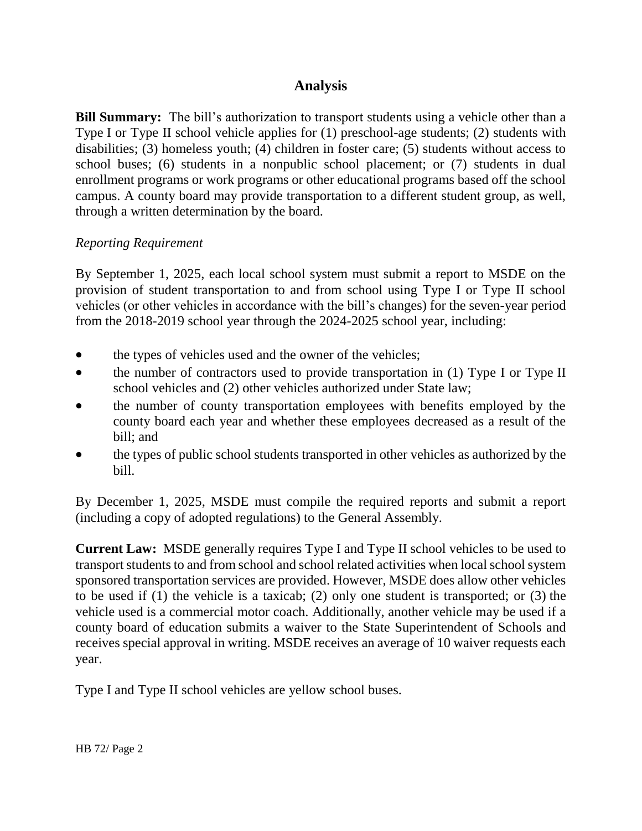## **Analysis**

**Bill Summary:** The bill's authorization to transport students using a vehicle other than a Type I or Type II school vehicle applies for (1) preschool-age students; (2) students with disabilities; (3) homeless youth; (4) children in foster care; (5) students without access to school buses; (6) students in a nonpublic school placement; or (7) students in dual enrollment programs or work programs or other educational programs based off the school campus. A county board may provide transportation to a different student group, as well, through a written determination by the board.

### *Reporting Requirement*

By September 1, 2025, each local school system must submit a report to MSDE on the provision of student transportation to and from school using Type I or Type II school vehicles (or other vehicles in accordance with the bill's changes) for the seven-year period from the 2018-2019 school year through the 2024-2025 school year, including:

- the types of vehicles used and the owner of the vehicles;
- the number of contractors used to provide transportation in (1) Type I or Type II school vehicles and (2) other vehicles authorized under State law;
- the number of county transportation employees with benefits employed by the county board each year and whether these employees decreased as a result of the bill; and
- the types of public school students transported in other vehicles as authorized by the bill.

By December 1, 2025, MSDE must compile the required reports and submit a report (including a copy of adopted regulations) to the General Assembly.

**Current Law:** MSDE generally requires Type I and Type II school vehicles to be used to transport students to and from school and school related activities when local school system sponsored transportation services are provided. However, MSDE does allow other vehicles to be used if (1) the vehicle is a taxicab; (2) only one student is transported; or (3) the vehicle used is a commercial motor coach. Additionally, another vehicle may be used if a county board of education submits a waiver to the State Superintendent of Schools and receives special approval in writing. MSDE receives an average of 10 waiver requests each year.

Type I and Type II school vehicles are yellow school buses.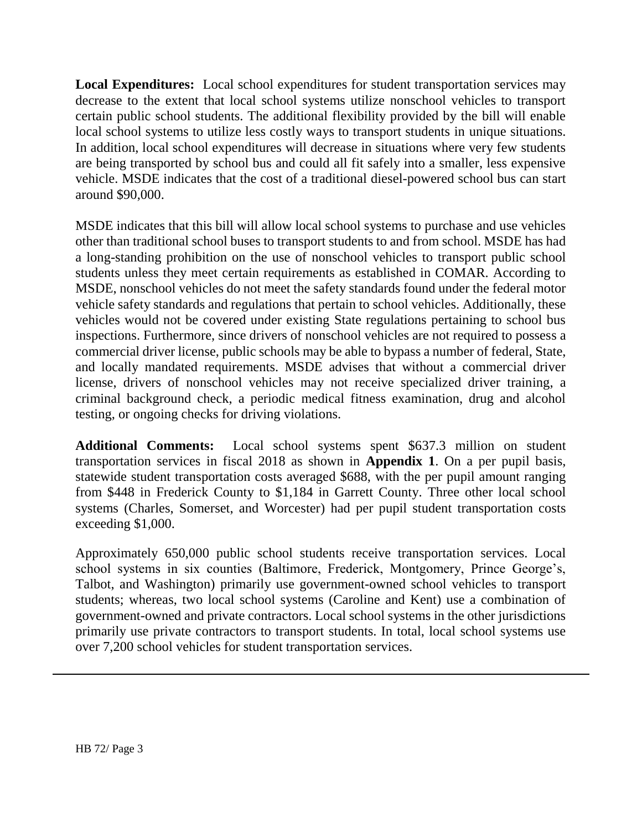**Local Expenditures:** Local school expenditures for student transportation services may decrease to the extent that local school systems utilize nonschool vehicles to transport certain public school students. The additional flexibility provided by the bill will enable local school systems to utilize less costly ways to transport students in unique situations. In addition, local school expenditures will decrease in situations where very few students are being transported by school bus and could all fit safely into a smaller, less expensive vehicle. MSDE indicates that the cost of a traditional diesel-powered school bus can start around \$90,000.

MSDE indicates that this bill will allow local school systems to purchase and use vehicles other than traditional school buses to transport students to and from school. MSDE has had a long-standing prohibition on the use of nonschool vehicles to transport public school students unless they meet certain requirements as established in COMAR. According to MSDE, nonschool vehicles do not meet the safety standards found under the federal motor vehicle safety standards and regulations that pertain to school vehicles. Additionally, these vehicles would not be covered under existing State regulations pertaining to school bus inspections. Furthermore, since drivers of nonschool vehicles are not required to possess a commercial driver license, public schools may be able to bypass a number of federal, State, and locally mandated requirements. MSDE advises that without a commercial driver license, drivers of nonschool vehicles may not receive specialized driver training, a criminal background check, a periodic medical fitness examination, drug and alcohol testing, or ongoing checks for driving violations.

**Additional Comments:** Local school systems spent \$637.3 million on student transportation services in fiscal 2018 as shown in **Appendix 1**. On a per pupil basis, statewide student transportation costs averaged \$688, with the per pupil amount ranging from \$448 in Frederick County to \$1,184 in Garrett County. Three other local school systems (Charles, Somerset, and Worcester) had per pupil student transportation costs exceeding \$1,000.

Approximately 650,000 public school students receive transportation services. Local school systems in six counties (Baltimore, Frederick, Montgomery, Prince George's, Talbot, and Washington) primarily use government-owned school vehicles to transport students; whereas, two local school systems (Caroline and Kent) use a combination of government-owned and private contractors. Local school systems in the other jurisdictions primarily use private contractors to transport students. In total, local school systems use over 7,200 school vehicles for student transportation services.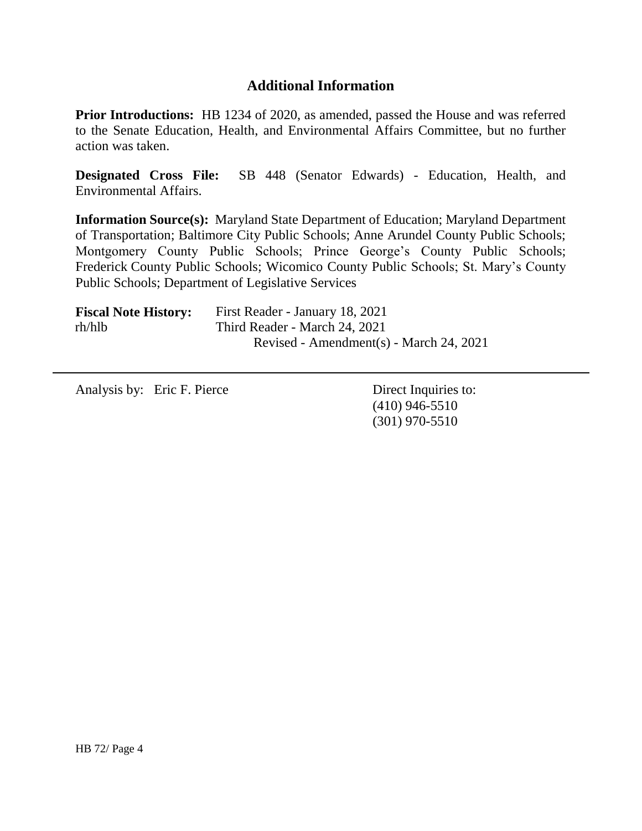## **Additional Information**

**Prior Introductions:** HB 1234 of 2020, as amended, passed the House and was referred to the Senate Education, Health, and Environmental Affairs Committee, but no further action was taken.

**Designated Cross File:** SB 448 (Senator Edwards) - Education, Health, and Environmental Affairs.

**Information Source(s):** Maryland State Department of Education; Maryland Department of Transportation; Baltimore City Public Schools; Anne Arundel County Public Schools; Montgomery County Public Schools; Prince George's County Public Schools; Frederick County Public Schools; Wicomico County Public Schools; St. Mary's County Public Schools; Department of Legislative Services

| <b>Fiscal Note History:</b> | First Reader - January 18, 2021         |
|-----------------------------|-----------------------------------------|
| rh/hlb                      | Third Reader - March 24, 2021           |
|                             | Revised - Amendment(s) - March 24, 2021 |

Analysis by: Eric F. Pierce Direct Inquiries to:

(410) 946-5510 (301) 970-5510